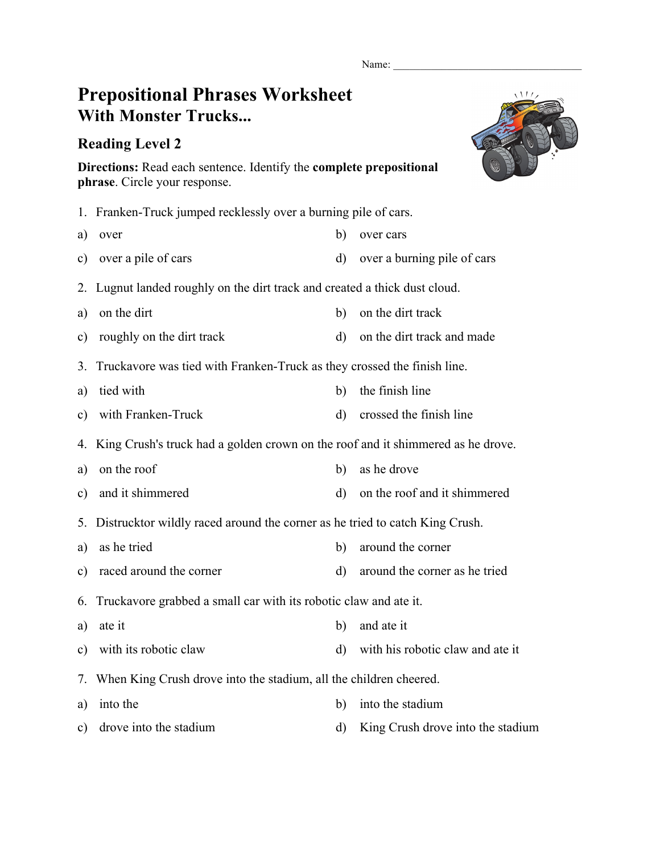Name:

## **Prepositional Phrases Worksheet With Monster Trucks...**

## **Reading Level 2**



**Directions:** Read each sentence. Identify the **complete prepositional phrase**. Circle your response.

- 1. Franken-Truck jumped recklessly over a burning pile of cars.
- a) over any b) over cars
- c) over a pile of cars d) over a burning pile of cars
- 2. Lugnut landed roughly on the dirt track and created a thick dust cloud.
- a) on the dirt b) on the dirt track
- c) roughly on the dirt track d) on the dirt track and made
- 3. Truckavore was tied with Franken-Truck as they crossed the finish line.
- a) tied with b) the finish line
- c) with Franken-Truck d) crossed the finish line
- 4. King Crush's truck had a golden crown on the roof and it shimmered as he drove.
- a) on the roof b) as he drove
- c) and it shimmered d) on the roof and it shimmered
- 5. Distrucktor wildly raced around the corner as he tried to catch King Crush.
- a) as he tried b) around the corner
- c) raced around the corner d) around the corner as he tried

6. Truckavore grabbed a small car with its robotic claw and ate it.

- a) ate it b) and ate it
- c) with its robotic claw d) with his robotic claw and ate it
- 7. When King Crush drove into the stadium, all the children cheered.
- a) into the b) into the stadium
- c) drove into the stadium d) King Crush drove into the stadium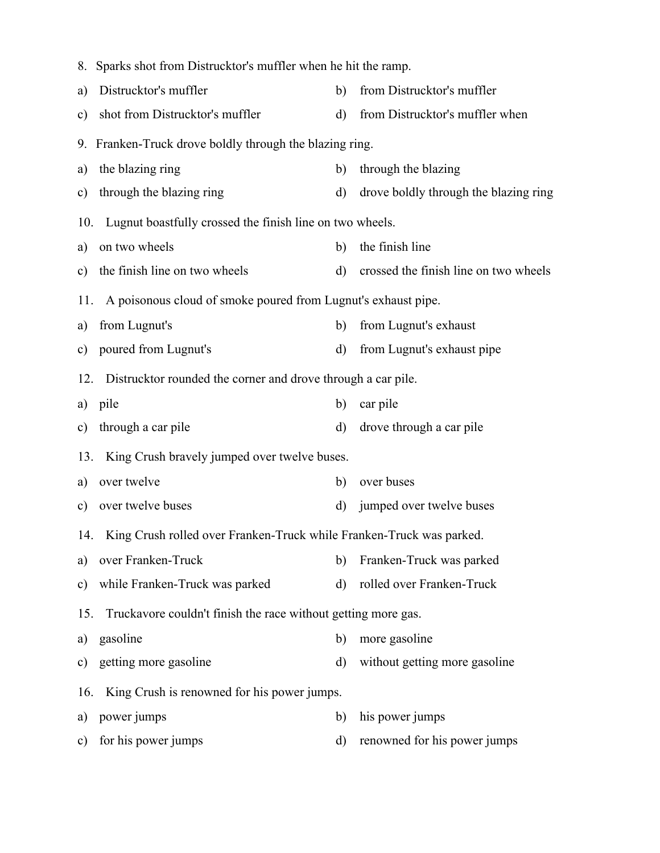|               | 8. Sparks shot from Distrucktor's muffler when he hit the ramp.          |              |                                       |  |  |
|---------------|--------------------------------------------------------------------------|--------------|---------------------------------------|--|--|
| a)            | Distrucktor's muffler                                                    | b)           | from Distrucktor's muffler            |  |  |
| $\mathbf{c})$ | shot from Distrucktor's muffler                                          | $\mathbf{d}$ | from Distrucktor's muffler when       |  |  |
|               | 9. Franken-Truck drove boldly through the blazing ring.                  |              |                                       |  |  |
| a)            | the blazing ring                                                         | b)           | through the blazing                   |  |  |
| $\mathbf{c})$ | through the blazing ring                                                 | $\mathbf{d}$ | drove boldly through the blazing ring |  |  |
| 10.           | Lugnut boastfully crossed the finish line on two wheels.                 |              |                                       |  |  |
| a)            | on two wheels                                                            | b)           | the finish line                       |  |  |
| $\mathbf{c})$ | the finish line on two wheels                                            | $\rm d)$     | crossed the finish line on two wheels |  |  |
| 11.           | A poisonous cloud of smoke poured from Lugnut's exhaust pipe.            |              |                                       |  |  |
| a)            | from Lugnut's                                                            | b)           | from Lugnut's exhaust                 |  |  |
| $\mathbf{c})$ | poured from Lugnut's                                                     | d)           | from Lugnut's exhaust pipe            |  |  |
| 12.           | Distrucktor rounded the corner and drove through a car pile.             |              |                                       |  |  |
| a)            | pile                                                                     | b)           | car pile                              |  |  |
| $\mathbf{c})$ | through a car pile                                                       | d)           | drove through a car pile              |  |  |
| 13.           | King Crush bravely jumped over twelve buses.                             |              |                                       |  |  |
| a)            | over twelve                                                              | b)           | over buses                            |  |  |
| $\mathbf{c})$ | over twelve buses                                                        | $\rm d)$     | jumped over twelve buses              |  |  |
|               | 14. King Crush rolled over Franken-Truck while Franken-Truck was parked. |              |                                       |  |  |
| a)            | over Franken-Truck                                                       | b)           | Franken-Truck was parked              |  |  |
| c)            | while Franken-Truck was parked                                           | $\mathbf{d}$ | rolled over Franken-Truck             |  |  |
| 15.           | Truckavore couldn't finish the race without getting more gas.            |              |                                       |  |  |
| a)            | gasoline                                                                 | b)           | more gasoline                         |  |  |
| $\mathbf{c})$ | getting more gasoline                                                    | $\mathbf{d}$ | without getting more gasoline         |  |  |
| 16.           | King Crush is renowned for his power jumps.                              |              |                                       |  |  |
| a)            | power jumps                                                              | b)           | his power jumps                       |  |  |
| $\mathbf{c})$ | for his power jumps                                                      | $\mathbf{d}$ | renowned for his power jumps          |  |  |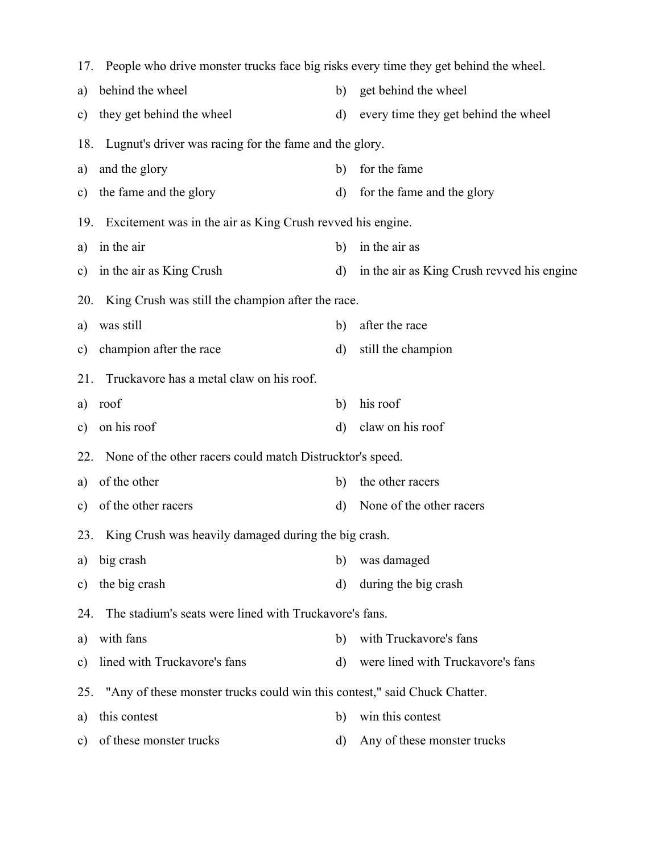|     | 17. People who drive monster trucks face big risks every time they get behind the wheel. |              |                                            |  |  |
|-----|------------------------------------------------------------------------------------------|--------------|--------------------------------------------|--|--|
| a)  | behind the wheel                                                                         | b)           | get behind the wheel                       |  |  |
| c)  | they get behind the wheel                                                                | $\rm d)$     | every time they get behind the wheel       |  |  |
| 18. | Lugnut's driver was racing for the fame and the glory.                                   |              |                                            |  |  |
| a)  | and the glory                                                                            | b)           | for the fame                               |  |  |
| c)  | the fame and the glory                                                                   | $\rm d)$     | for the fame and the glory                 |  |  |
| 19. | Excitement was in the air as King Crush revved his engine.                               |              |                                            |  |  |
| a)  | in the air                                                                               | b)           | in the air as                              |  |  |
| c)  | in the air as King Crush                                                                 | $\rm d$      | in the air as King Crush revved his engine |  |  |
| 20. | King Crush was still the champion after the race.                                        |              |                                            |  |  |
| a)  | was still                                                                                | b)           | after the race                             |  |  |
| c)  | champion after the race                                                                  | $\mathbf{d}$ | still the champion                         |  |  |
| 21. | Truckavore has a metal claw on his roof.                                                 |              |                                            |  |  |
| a)  | roof                                                                                     | b)           | his roof                                   |  |  |
| c)  | on his roof                                                                              | $\rm d)$     | claw on his roof                           |  |  |
| 22. | None of the other racers could match Distrucktor's speed.                                |              |                                            |  |  |
| a)  | of the other                                                                             | b)           | the other racers                           |  |  |
| c)  | of the other racers                                                                      | $\rm d)$     | None of the other racers                   |  |  |
|     | 23. King Crush was heavily damaged during the big crash.                                 |              |                                            |  |  |
| a)  | big crash                                                                                | b)           | was damaged                                |  |  |
| c)  | the big crash                                                                            | d)           | during the big crash                       |  |  |
| 24. | The stadium's seats were lined with Truckavore's fans.                                   |              |                                            |  |  |
| a)  | with fans                                                                                | b)           | with Truckavore's fans                     |  |  |
| c)  | lined with Truckavore's fans                                                             | d)           | were lined with Truckavore's fans          |  |  |
| 25. | "Any of these monster trucks could win this contest," said Chuck Chatter.                |              |                                            |  |  |
| a)  | this contest                                                                             | b)           | win this contest                           |  |  |
| c)  | of these monster trucks                                                                  | d)           | Any of these monster trucks                |  |  |
|     |                                                                                          |              |                                            |  |  |